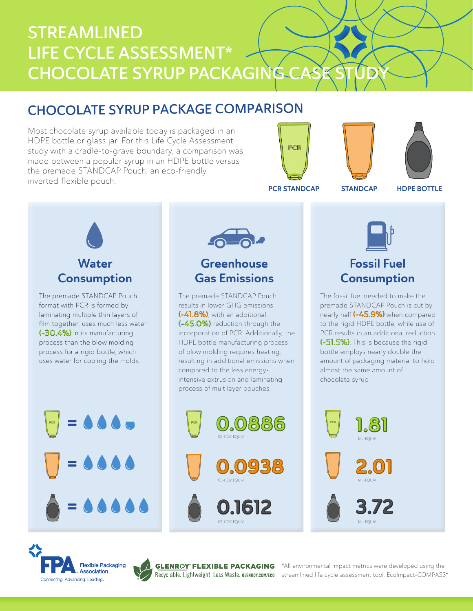# STREAMLINED LIFE CYCLE ASSESSMENT\* CHOCOLATE SYRUP PACKAGING C

## CHOCOLATE SYRUP PACKAGE COMPARISON

Most chocolate syrup available today is packaged in an HDPE bottle or glass jar. For this Life Cycle Assessment study with a cradle-to-grave boundary, a comparison was made between a popular syrup in an HDPE bottle versus the premade STANDCAP Pouch, an eco-friendly inverted flexible pouch.





**Water Consumption** 

The premade STANDCAP Pouch format with PCR is formed by laminating multiple thin layers of film together, uses much less water (-30.4%) in its manufacturing process than the blow molding process for a rigid bottle, which uses water for cooling the molds.

 $= 0000$ 

 $-6$ 

## **Greenhouse** Gas Emissions

The premade STANDCAP Pouch results in lower GHG emissions (-41.8%), with an additional (-45.0%) reduction through the incorporation of PCR. Additionally, the HDPE bottle manufacturing process of blow molding requires heating, resulting in additional emissions when compared to the less energyintensive extrusion and laminating process of multilayer pouches.







## Fossil Fuel **Consumption**

The fossil fuel needed to make the premade STANDCAP Pouch is cut by nearly half (-45.9%) when compared to the rigid HDPE bottle, while use of PCR results in an additional reduction (-51.5%). This is because the rigid bottle employs nearly double the amount of packaging material to hold almost the same amount of chocolate syrup.





=

=



®

\*All environmental impact metrics were developed using the streamlined life cycle assessment tool, EcoImpact-COMPASS®